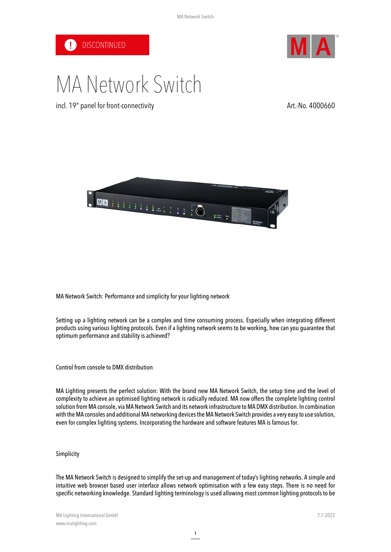



# MA Network Switch

incl. 19" panel for front-connectivity and the state of the Art.-No. 4000660



MA Network Switch: Performance and simplicity for your lighting network

Setting up a lighting network can be a complex and time consuming process. Especially when integrating different products using various lighting protocols. Even if a lighting network seems to be working, how can you guarantee that optimum performance and stability is achieved?

Control from console to DMX distribution

MA Lighting presents the perfect solution: With the brand new MA Network Switch, the setup time and the level of complexity to achieve an optimised lighting network is radically reduced. MA now offers the complete lighting control solution from MA console, via MA Network Switch and its network infrastructure to MA DMX distribution. In combination with the MA consoles and additional MA networking devices the MA Network Switch provides a very easy to use solution, even for complex lighting systems. Incorporating the hardware and software features MA is famous for.

## **Simplicity**

The MA Network Switch is designed to simplifythe set-up and management of today's lighting networks. A simple and intuitive web browser based user interface allows network optimisation with a few easy steps. There is no need for specific networking knowledge. Standard lighting terminology is used allowing most common lighting protocols to be

1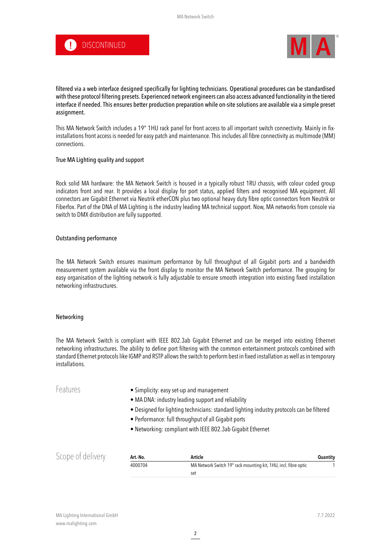



filtered via a web interface designed specifically for lighting technicians. Operational procedures can be standardised with these protocol filtering presets. Experienced network engineers can also access advanced functionality in the tiered interface if needed. This ensures better production preparation while on-site solutions are available via a simple preset assignment.

This MA Network Switch includes a 19" 1HU rack panel for front access to all important switch connectivity. Mainly in fixinstallations front access is needed for easy patch and maintenance. This includes all fibre connectivity as multimode (MM) connections.

### True MA Lighting quality and support

Rock solid MA hardware: the MA Network Switch is housed in a typically robust 1RU chassis, with colour coded group indicators front and rear. It provides a local display for port status, applied filters and recognised MA equipment. All connectors are Gigabit Ethernet via Neutrik etherCON plus two optional heavy duty fibre optic connectors from Neutrik or Fiberfox. Part of the DNA of MA Lighting is the industry leading MA technical support. Now, MA networks from console via switch to DMX distribution are fully supported.

### Outstanding performance

The MA Network Switch ensures maximum performance by full throughput of all Gigabit ports and a bandwidth measurement system available via the front display to monitor the MA Network Switch performance. The grouping for easy organisation of the lighting network is fully adjustable to ensure smooth integration into existing fixed installation networking infrastructures.

#### Networking

The MA Network Switch is compliant with IEEE 802.3ab Gigabit Ethernet and can be merged into existing Ethernet networking infrastructures. The ability to define port filtering with the common entertainment protocols combined with standard Ethernet protocols like IGMP and RSTP allows the switch to perform best in fixed installation as well as in temporary installations.

| Features          |          | • Simplicity: easy set-up and management<br>• MA DNA: industry leading support and reliability<br>• Designed for lighting technicians: standard lighting industry protocols can be filtered<br>• Performance: full throughput of all Gigabit ports<br>. Networking: compliant with IEEE 802.3ab Gigabit Ethernet |                 |
|-------------------|----------|------------------------------------------------------------------------------------------------------------------------------------------------------------------------------------------------------------------------------------------------------------------------------------------------------------------|-----------------|
| Scope of delivery | Art.-No. | Article                                                                                                                                                                                                                                                                                                          | <b>Quantity</b> |
|                   | 4000704  | MA Network Switch 19" rack mounting kit, 1HU, incl. fibre optic                                                                                                                                                                                                                                                  |                 |

set